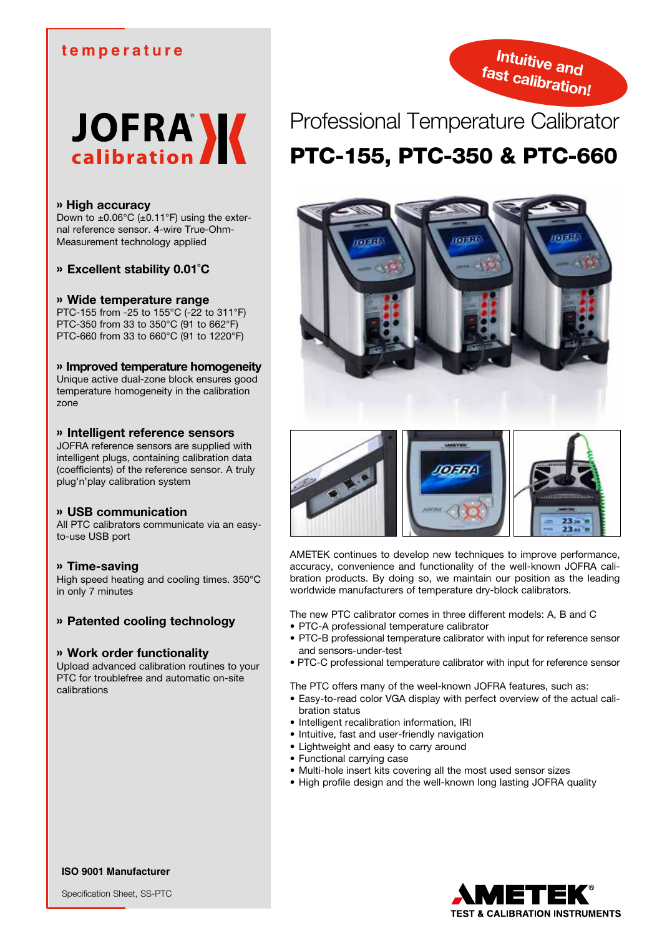## **temperature**





#### » **High accuracy**

Down to  $\pm 0.06^{\circ}$ C ( $\pm 0.11^{\circ}$ F) using the external reference sensor. 4-wire True-Ohm-Measurement technology applied

» **Excellent stability 0.01˚C**

#### » **Wide temperature range**

PTC-155 from -25 to 155°C (-22 to 311°F) PTC-350 from 33 to 350°C (91 to 662°F) PTC-660 from 33 to 660°C (91 to 1220°F)

#### » **Improved temperature homogeneity**

Unique active dual-zone block ensures good temperature homogeneity in the calibration zone

#### » **Intelligent reference sensors**

JOFRA reference sensors are supplied with intelligent plugs, containing calibration data (coefficients) of the reference sensor. A truly plug'n'play calibration system

#### » **USB communication**

All PTC calibrators communicate via an easyto-use USB port

#### » **Time-saving**

High speed heating and cooling times. 350°C in only 7 minutes

### » **Patented cooling technology**

#### » **Work order functionality**

Upload advanced calibration routines to your PTC for troublefree and automatic on-site calibrations

## Professional Temperature Calibrator PTC-155, PTC-350 & PTC-660





AMETEK continues to develop new techniques to improve performance, accuracy, convenience and functionality of the well-known JOFRA calibration products. By doing so, we maintain our position as the leading worldwide manufacturers of temperature dry-block calibrators.

The new PTC calibrator comes in three different models: A, B and C

- PTC-A professional temperature calibrator
- PTC-B professional temperature calibrator with input for reference sensor and sensors-under-test
- PTC-C professional temperature calibrator with input for reference sensor

The PTC offers many of the weel-known JOFRA features, such as:

- Easy-to-read color VGA display with perfect overview of the actual calibration status
- Intelligent recalibration information, IRI
- Intuitive, fast and user-friendly navigation
- Lightweight and easy to carry around
- Functional carrying case
- Multi-hole insert kits covering all the most used sensor sizes
- High profile design and the well-known long lasting JOFRA quality



**ISO 9001 Manufacturer**

Specification Sheet, SS-PTC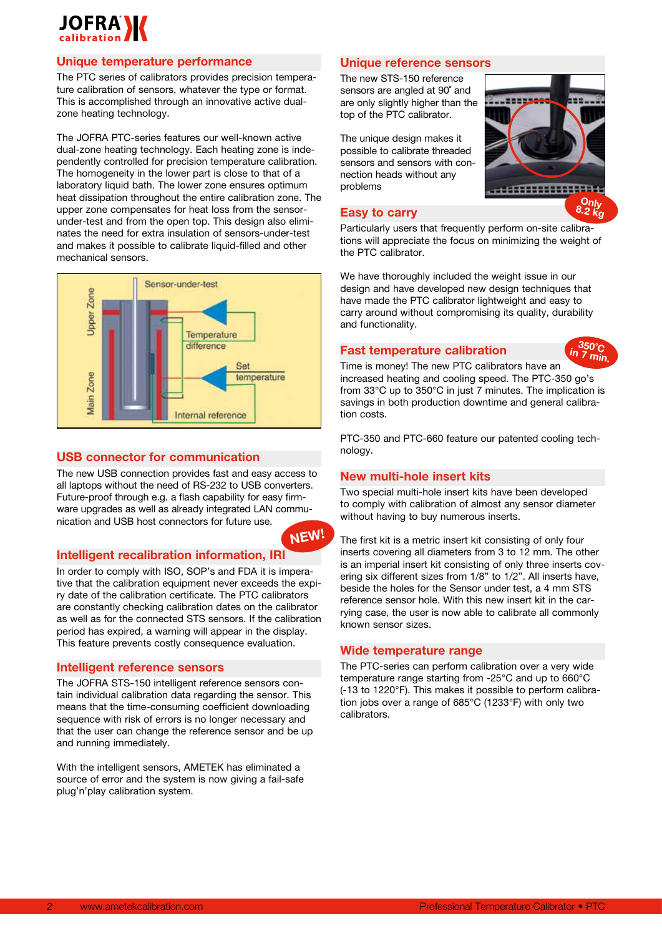

### **Unique temperature performance**

The PTC series of calibrators provides precision temperature calibration of sensors, whatever the type or format. This is accomplished through an innovative active dualzone heating technology.

The JOFRA PTC-series features our well-known active dual-zone heating technology. Each heating zone is independently controlled for precision temperature calibration. The homogeneity in the lower part is close to that of a laboratory liquid bath. The lower zone ensures optimum heat dissipation throughout the entire calibration zone. The upper zone compensates for heat loss from the sensorunder-test and from the open top. This design also eliminates the need for extra insulation of sensors-under-test and makes it possible to calibrate liquid-filled and other mechanical sensors.



#### **USB connector for communication**

The new USB connection provides fast and easy access to all laptops without the need of RS-232 to USB converters. Future-proof through e.g. a flash capability for easy firmware upgrades as well as already integrated LAN communication and USB host connectors for future use.

#### **Intelligent recalibration information, IRI**

In order to comply with ISO, SOP's and FDA it is imperative that the calibration equipment never exceeds the expiry date of the calibration certificate. The PTC calibrators are constantly checking calibration dates on the calibrator as well as for the connected STS sensors. If the calibration period has expired, a warning will appear in the display. This feature prevents costly consequence evaluation.

#### **Intelligent reference sensors**

The JOFRA STS-150 intelligent reference sensors contain individual calibration data regarding the sensor. This means that the time-consuming coefficient downloading sequence with risk of errors is no longer necessary and that the user can change the reference sensor and be up and running immediately.

With the intelligent sensors, AMETEK has eliminated a source of error and the system is now giving a fail-safe plug'n'play calibration system.

#### **Unique reference sensors**

The new STS-150 reference sensors are angled at 90˚ and are only slightly higher than the top of the PTC calibrator.

The unique design makes it possible to calibrate threaded sensors and sensors with connection heads without any problems

#### **Easy to carry**

Particularly users that frequently perform on-site calibrations will appreciate the focus on minimizing the weight of the PTC calibrator.

----

We have thoroughly included the weight issue in our design and have developed new design techniques that have made the PTC calibrator lightweight and easy to carry around without compromising its quality, durability and functionality.

## **Fast temperature calibration**



**Only 8.2 kg**

**HATTERHATTEN** 

Time is money! The new PTC calibrators have an increased heating and cooling speed. The PTC-350 go's from 33°C up to 350°C in just 7 minutes. The implication is savings in both production downtime and general calibration costs.

PTC-350 and PTC-660 feature our patented cooling technology.

#### **New multi-hole insert kits**

**NEW!**

Two special multi-hole insert kits have been developed to comply with calibration of almost any sensor diameter without having to buy numerous inserts.

The first kit is a metric insert kit consisting of only four inserts covering all diameters from 3 to 12 mm. The other is an imperial insert kit consisting of only three inserts covering six different sizes from 1/8" to 1/2". All inserts have, beside the holes for the Sensor under test, a 4 mm STS reference sensor hole. With this new insert kit in the carrying case, the user is now able to calibrate all commonly known sensor sizes.

#### **Wide temperature range**

The PTC-series can perform calibration over a very wide temperature range starting from -25°C and up to 660°C (-13 to 1220°F). This makes it possible to perform calibration jobs over a range of 685°C (1233°F) with only two calibrators.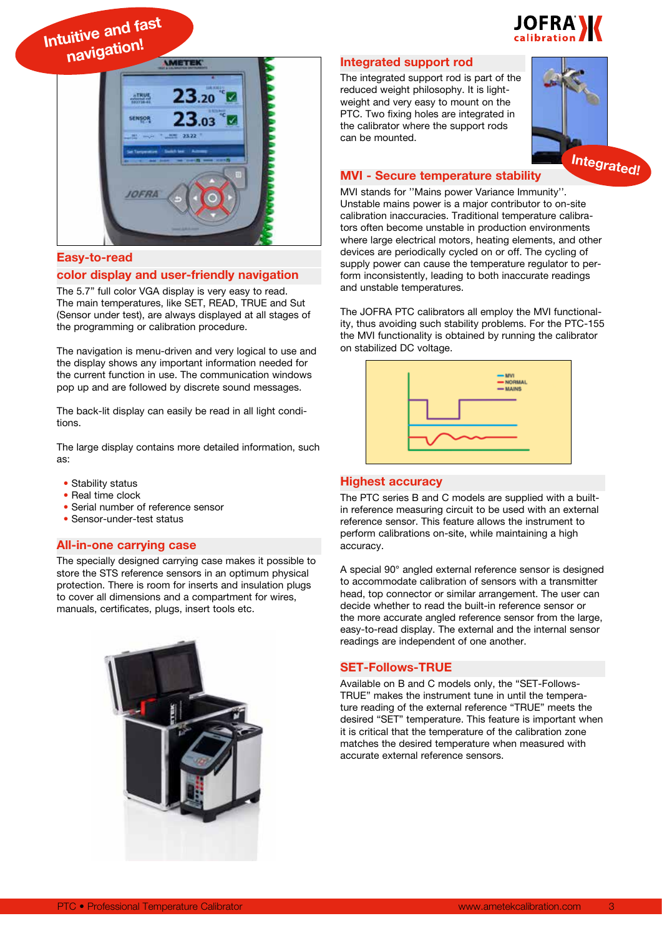

**Intuitive and fast navigation!**



#### **Easy-to-read**

#### **color display and user-friendly navigation**

The 5.7" full color VGA display is very easy to read. The main temperatures, like SET, READ, TRUE and Sut (Sensor under test), are always displayed at all stages of the programming or calibration procedure.

The navigation is menu-driven and very logical to use and the display shows any important information needed for the current function in use. The communication windows pop up and are followed by discrete sound messages.

The back-lit display can easily be read in all light conditions.

The large display contains more detailed information, such as:

- Stability status
- Real time clock
- Serial number of reference sensor
- Sensor-under-test status

#### **All-in-one carrying case**

The specially designed carrying case makes it possible to store the STS reference sensors in an optimum physical protection. There is room for inserts and insulation plugs to cover all dimensions and a compartment for wires, manuals, certificates, plugs, insert tools etc.



#### **Integrated support rod**

The integrated support rod is part of the reduced weight philosophy. It is lightweight and very easy to mount on the PTC. Two fixing holes are integrated in the calibrator where the support rods can be mounted.



#### **MVI - Secure temperature stability**

MVI stands for ''Mains power Variance Immunity''. Unstable mains power is a major contributor to on-site calibration inaccuracies. Traditional temperature calibrators often become unstable in production environments where large electrical motors, heating elements, and other devices are periodically cycled on or off. The cycling of supply power can cause the temperature regulator to perform inconsistently, leading to both inaccurate readings and unstable temperatures.

The JOFRA PTC calibrators all employ the MVI functionality, thus avoiding such stability problems. For the PTC-155 the MVI functionality is obtained by running the calibrator on stabilized DC voltage.



#### **Highest accuracy**

The PTC series B and C models are supplied with a builtin reference measuring circuit to be used with an external reference sensor. This feature allows the instrument to perform calibrations on-site, while maintaining a high accuracy.

A special 90° angled external reference sensor is designed to accommodate calibration of sensors with a transmitter head, top connector or similar arrangement. The user can decide whether to read the built-in reference sensor or the more accurate angled reference sensor from the large, easy-to-read display. The external and the internal sensor readings are independent of one another.

#### **SET-Follows-TRUE**

Available on B and C models only, the "SET-Follows-TRUE" makes the instrument tune in until the temperature reading of the external reference "TRUE" meets the desired "SET" temperature. This feature is important when it is critical that the temperature of the calibration zone matches the desired temperature when measured with accurate external reference sensors.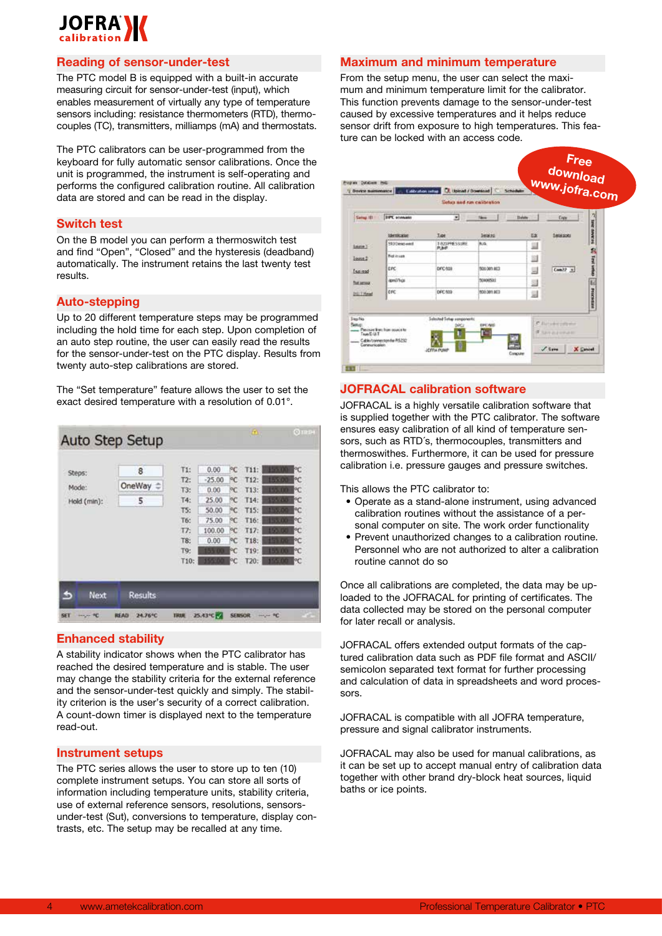# **JOFRANZ**

#### **Reading of sensor-under-test**

The PTC model B is equipped with a built-in accurate measuring circuit for sensor-under-test (input), which enables measurement of virtually any type of temperature sensors including: resistance thermometers (RTD), thermocouples (TC), transmitters, milliamps (mA) and thermostats.

The PTC calibrators can be user-programmed from the keyboard for fully automatic sensor calibrations. Once the unit is programmed, the instrument is self-operating and performs the configured calibration routine. All calibration data are stored and can be read in the display.

#### **Switch test**

On the B model you can perform a thermoswitch test and find "Open", "Closed" and the hysteresis (deadband) automatically. The instrument retains the last twenty test results.

#### **Auto-stepping**

Up to 20 different temperature steps may be programmed including the hold time for each step. Upon completion of an auto step routine, the user can easily read the results for the sensor-under-test on the PTC display. Results from twenty auto-step calibrations are stored.

The "Set temperature" feature allows the user to set the exact desired temperature with a resolution of 0.01°.

|                                    | <b>Auto Step Setup</b> |             |           |               | $\langle \Omega \rangle$ |                 | $Q$ TIHEH |
|------------------------------------|------------------------|-------------|-----------|---------------|--------------------------|-----------------|-----------|
| Steps:                             | 8                      | T1:         | 0.00      | PC            | T11:                     |                 | РC        |
|                                    |                        | T2:         | $-25.00$  | PC.           | T12:                     | 55.0            | РC        |
| Mode:                              | OneWay                 | T3:         | 0.00      | PC.           | T13:                     |                 | РC        |
| Hold (min):                        | 5                      | T4:         | 25.00     | РC            | T14:                     |                 | РC        |
|                                    |                        | TS:         | 50.00     | PC.           | T15:                     |                 | ۴C        |
|                                    |                        | T6:         | 75.00     | PC            | T16:                     |                 | РC        |
|                                    |                        | T7.         | 100.00    | PC.           | T17:                     |                 | ÞС        |
|                                    |                        | T8:         | 0.00      | PC            | T18:                     |                 | РC        |
|                                    |                        | T9:         |           | РC            | T19:                     |                 | РC        |
|                                    |                        | T10:        |           | РC            | T20:                     |                 | РC        |
| Next<br>55                         | <b>Results</b>         |             |           |               |                          |                 |           |
| <b>SET</b><br>۴C<br><b>HARLING</b> | <b>READ</b><br>24.76°C | <b>TRUE</b> | 25.43°C M | <b>SENSOR</b> |                          | <b>HALLA</b> RC |           |

### **Enhanced stability**

A stability indicator shows when the PTC calibrator has reached the desired temperature and is stable. The user may change the stability criteria for the external reference and the sensor-under-test quickly and simply. The stability criterion is the user's security of a correct calibration. A count-down timer is displayed next to the temperature read-out.

#### **Instrument setups**

The PTC series allows the user to store up to ten (10) complete instrument setups. You can store all sorts of information including temperature units, stability criteria, use of external reference sensors, resolutions, sensorsunder-test (Sut), conversions to temperature, display contrasts, etc. The setup may be recalled at any time.

#### **Maximum and minimum temperature**

From the setup menu, the user can select the maximum and minimum temperature limit for the calibrator. This function prevents damage to the sensor-under-test caused by excessive temperatures and it helps reduce sensor drift from exposure to high temperatures. This feature can be locked with an access code.



### **JOFRACAL calibration software**

JOFRACAL is a highly versatile calibration software that is supplied together with the PTC calibrator. The software ensures easy calibration of all kind of temperature sensors, such as RTD´s, thermocouples, transmitters and thermoswithes. Furthermore, it can be used for pressure calibration i.e. pressure gauges and pressure switches.

This allows the PTC calibrator to:

- Operate as a stand-alone instrument, using advanced calibration routines without the assistance of a personal computer on site. The work order functionality
- Prevent unauthorized changes to a calibration routine. Personnel who are not authorized to alter a calibration routine cannot do so

Once all calibrations are completed, the data may be uploaded to the JOFRACAL for printing of certificates. The data collected may be stored on the personal computer for later recall or analysis.

JOFRACAL offers extended output formats of the captured calibration data such as PDF file format and ASCII/ semicolon separated text format for further processing and calculation of data in spreadsheets and word processors.

JOFRACAL is compatible with all JOFRA temperature, pressure and signal calibrator instruments.

JOFRACAL may also be used for manual calibrations, as it can be set up to accept manual entry of calibration data together with other brand dry-block heat sources, liquid baths or ice points.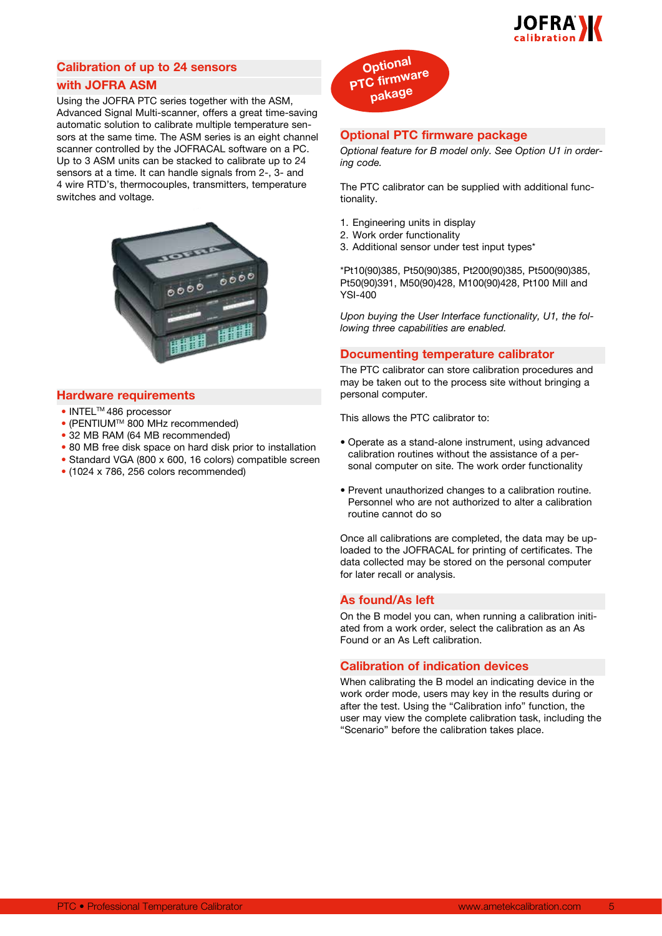

## **Calibration of up to 24 sensors with JOFRA ASM**

Using the JOFRA PTC series together with the ASM, Advanced Signal Multi-scanner, offers a great time-saving automatic solution to calibrate multiple temperature sensors at the same time. The ASM series is an eight channel scanner controlled by the JOFRACAL software on a PC. Up to 3 ASM units can be stacked to calibrate up to 24 sensors at a time. It can handle signals from 2-, 3- and 4 wire RTD's, thermocouples, transmitters, temperature switches and voltage.



#### **Hardware requirements**

- INTELTM 486 processor
- $\bullet$  (PENTIUM<sup>TM</sup> 800 MHz recommended)
- 32 MB RAM (64 MB recommended)
- 80 MB free disk space on hard disk prior to installation
- Standard VGA (800 x 600, 16 colors) compatible screen
- (1024 x 786, 256 colors recommended)



#### **Optional PTC firmware package**

*Optional feature for B model only. See Option U1 in ordering code.*

The PTC calibrator can be supplied with additional functionality.

- 1. Engineering units in display
- 2. Work order functionality
- 3. Additional sensor under test input types\*

\*Pt10(90)385, Pt50(90)385, Pt200(90)385, Pt500(90)385, Pt50(90)391, M50(90)428, M100(90)428, Pt100 Mill and YSI-400

*Upon buying the User Interface functionality, U1, the following three capabilities are enabled.*

#### **Documenting temperature calibrator**

The PTC calibrator can store calibration procedures and may be taken out to the process site without bringing a personal computer.

This allows the PTC calibrator to:

- Operate as a stand-alone instrument, using advanced calibration routines without the assistance of a personal computer on site. The work order functionality
- Prevent unauthorized changes to a calibration routine. Personnel who are not authorized to alter a calibration routine cannot do so

Once all calibrations are completed, the data may be uploaded to the JOFRACAL for printing of certificates. The data collected may be stored on the personal computer for later recall or analysis.

#### **As found/As left**

On the B model you can, when running a calibration initiated from a work order, select the calibration as an As Found or an As Left calibration.

#### **Calibration of indication devices**

When calibrating the B model an indicating device in the work order mode, users may key in the results during or after the test. Using the "Calibration info" function, the user may view the complete calibration task, including the "Scenario" before the calibration takes place.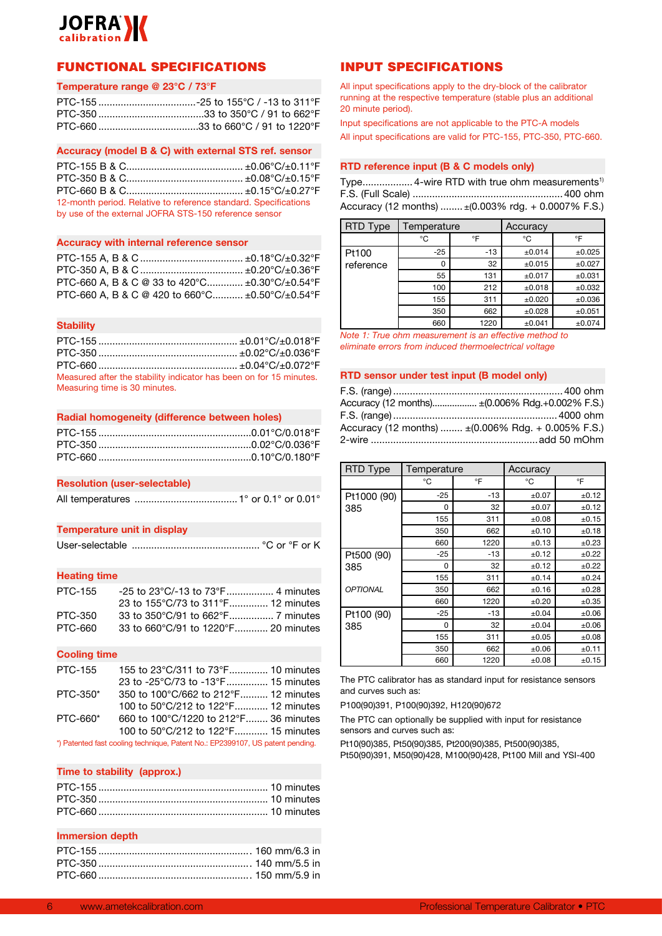

## FUNCTIONAL SPECIFICATIONS

#### **Temperature range @ 23°C / 73**°**F**

#### **Accuracy (model B & C) with external STS ref. sensor**

PTC-155 B & C.......................................... ±0.06°C/±0.11°F PTC-350 B & C.......................................... ±0.08°C/±0.15°F PTC-660 B & C.......................................... ±0.15°C/±0.27°F 12-month period. Relative to reference standard. Specifications by use of the external JOFRA STS-150 reference sensor

#### **Accuracy with internal reference sensor**

| PTC-660 A, B & C @ 33 to 420 °C $\pm 0.30$ °C/ $\pm 0.54$ °F |  |
|--------------------------------------------------------------|--|
| PTC-660 A, B & C @ 420 to 660°C ±0.50°C/±0.54°F              |  |

#### **Stability**

| Measured after the stability indicator has been on for 15 minutes. |  |
|--------------------------------------------------------------------|--|
| Measuring time is 30 minutes.                                      |  |

| Radial homogeneity (difference between holes) |  |  |
|-----------------------------------------------|--|--|
|                                               |  |  |

#### **Resolution (user-selectable)**

All temperatures .....................................1° or 0.1° or 0.01°

#### **Temperature unit in display**

|--|--|--|--|--|--|--|

#### **Heating time**

| PTC-155 |                                     |  |
|---------|-------------------------------------|--|
|         | 23 to 155°C/73 to 311°F 12 minutes  |  |
| PTC-350 |                                     |  |
| PTC-660 | 33 to 660°C/91 to 1220°F 20 minutes |  |

#### **Cooling time**

| 155 to 23°C/311 to 73°F 10 minutes    |
|---------------------------------------|
| 23 to -25°C/73 to -13°F 15 minutes    |
| 350 to 100°C/662 to 212°F 12 minutes  |
| 100 to 50°C/212 to 122°F 12 minutes   |
| 660 to 100°C/1220 to 212°F 36 minutes |
| 100 to 50°C/212 to 122°F 15 minutes   |
|                                       |

\*) Patented fast cooling technique, Patent No.: EP2399107, US patent pending.

#### **Time to stability (approx.)**

#### **Immersion depth**

## INPUT SPECIFICATIONS

All input specifications apply to the dry-block of the calibrator running at the respective temperature (stable plus an additional 20 minute period).

Input specifications are not applicable to the PTC-A models All input specifications are valid for PTC-155, PTC-350, PTC-660.

#### **RTD reference input (B & C models only)**

Type.................. 4-wire RTD with true ohm measurements<sup>1)</sup> F.S. (Full Scale) ......................................................400 ohm Accuracy (12 months) ........ ±(0.003% rdg. + 0.0007% F.S.)

| <b>RTD Type</b> | Temperature |       | Accuracy    |             |
|-----------------|-------------|-------|-------------|-------------|
|                 | °C          | °F    | °C          | °F          |
| Pt100           | $-25$       | $-13$ | $\pm 0.014$ | ±0.025      |
| reference       | O           | 32    | ±0.015      | $\pm 0.027$ |
|                 | 55          | 131   | $\pm 0.017$ | ±0.031      |
|                 | 100         | 212   | $\pm 0.018$ | ±0.032      |
|                 | 155         | 311   | $\pm 0.020$ | ±0.036      |
|                 | 350         | 662   | $\pm 0.028$ | ±0.051      |
|                 | 660         | 1220  | ±0.041      | ±0.074      |

*Note 1: True ohm measurement is an effective method to eliminate errors from induced thermoelectrical voltage*

#### **RTD sensor under test input (B model only)**

| Accuracy (12 months) ± (0.006% Rdg.+0.002% F.S.)                         |
|--------------------------------------------------------------------------|
|                                                                          |
| Accuracy (12 months) $\pm (0.006\% \text{ Rdg.} + 0.005\% \text{ F.S.})$ |
|                                                                          |

| RTD Type        | Temperature |       | Accuracy   |       |
|-----------------|-------------|-------|------------|-------|
|                 | °C          | °F    | °C         | °F    |
| Pt1000 (90)     | $-25$       | $-13$ | ±0.07      | ±0.12 |
| 385             | 0           | 32    | $\pm 0.07$ | ±0.12 |
|                 | 155         | 311   | ±0.08      | ±0.15 |
|                 | 350         | 662   | ±0.10      | ±0.18 |
|                 | 660         | 1220  | ±0.13      | ±0.23 |
| Pt500 (90)      | $-25$       | $-13$ | ±0.12      | ±0.22 |
| 385             | 0           | 32    | ±0.12      | ±0.22 |
|                 | 155         | 311   | ±0.14      | ±0.24 |
| <b>OPTIONAL</b> | 350         | 662   | ±0.16      | ±0.28 |
|                 | 660         | 1220  | ±0.20      | ±0.35 |
| Pt100 (90)      | $-25$       | $-13$ | ±0.04      | ±0.06 |
| 385             | 0           | 32    | ±0.04      | ±0.06 |
|                 | 155         | 311   | ±0.05      | ±0.08 |
|                 | 350         | 662   | $\pm 0.06$ | ±0.11 |
|                 | 660         | 1220  | ±0.08      | ±0.15 |

The PTC calibrator has as standard input for resistance sensors and curves such as:

P100(90)391, P100(90)392, H120(90)672

The PTC can optionally be supplied with input for resistance sensors and curves such as:

Pt10(90)385, Pt50(90)385, Pt200(90)385, Pt500(90)385, Pt50(90)391, M50(90)428, M100(90)428, Pt100 Mill and YSI-400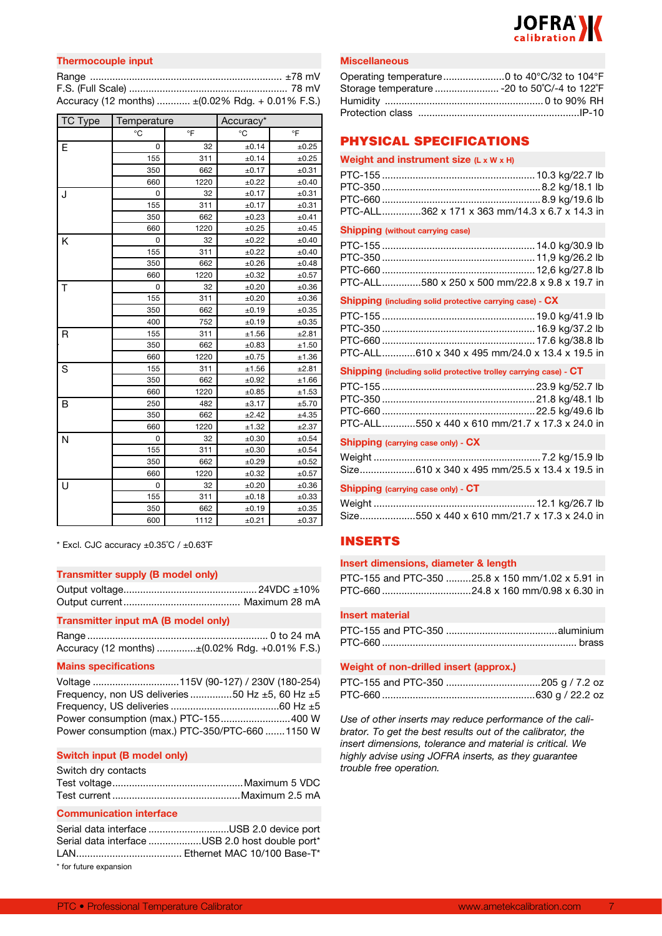

| Thermocouple input                                |  |
|---------------------------------------------------|--|
|                                                   |  |
|                                                   |  |
| Accuracy (12 months)  ± (0.02% Rdg. + 0.01% F.S.) |  |

| TC Type | Temperature |      | Accuracy* |       |  |
|---------|-------------|------|-----------|-------|--|
|         | °C          | °F   | °C        | °F    |  |
| Е       | 0           | 32   | ±0.14     | ±0.25 |  |
|         | 155         | 311  | ±0.14     | ±0.25 |  |
|         | 350         | 662  | ±0.17     | ±0.31 |  |
|         | 660         | 1220 | ±0.22     | ±0.40 |  |
| J       | 0           | 32   | ±0.17     | ±0.31 |  |
|         | 155         | 311  | ±0.17     | ±0.31 |  |
|         | 350         | 662  | ±0.23     | ±0.41 |  |
|         | 660         | 1220 | ±0.25     | ±0.45 |  |
| Κ       | 0           | 32   | ±0.22     | ±0.40 |  |
|         | 155         | 311  | ±0.22     | ±0.40 |  |
|         | 350         | 662  | ±0.26     | ±0.48 |  |
|         | 660         | 1220 | ±0.32     | ±0.57 |  |
| T       | 0           | 32   | ±0.20     | ±0.36 |  |
|         | 155         | 311  | ±0.20     | ±0.36 |  |
|         | 350         | 662  | ±0.19     | ±0.35 |  |
|         | 400         | 752  | ±0.19     | ±0.35 |  |
| R       | 155         | 311  | ±1.56     | ±2.81 |  |
|         | 350         | 662  | ±0.83     | ±1.50 |  |
|         | 660         | 1220 | ±0.75     | ±1.36 |  |
| S       | 155         | 311  | ±1.56     | ±2.81 |  |
|         | 350         | 662  | ±0.92     | ±1.66 |  |
|         | 660         | 1220 | ±0.85     | ±1.53 |  |
| B       | 250         | 482  | ±3.17     | ±5.70 |  |
|         | 350         | 662  | ±2.42     | ±4.35 |  |
|         | 660         | 1220 | ±1.32     | ±2.37 |  |
| N       | 0           | 32   | ±0.30     | ±0.54 |  |
|         | 155         | 311  | ±0.30     | ±0.54 |  |
|         | 350         | 662  | ±0.29     | ±0.52 |  |
|         | 660         | 1220 | ±0.32     | ±0.57 |  |
| U       | 0           | 32   | ±0.20     | ±0.36 |  |
|         | 155         | 311  | ±0.18     | ±0.33 |  |
|         | 350         | 662  | ±0.19     | ±0.35 |  |
|         | 600         | 1112 | ±0.21     | ±0.37 |  |

 $*$  Excl. CJC accuracy  $\pm 0.35^{\circ}$ C /  $\pm 0.63^{\circ}$ F

#### **Transmitter supply (B model only)**

#### **Transmitter input mA (B model only)**

| Accuracy (12 months) ± (0.02% Rdg. +0.01% F.S.) |
|-------------------------------------------------|

#### **Mains specifications**

Voltage ...............................115V (90-127) / 230V (180-254) Frequency, non US deliveries ...............50 Hz ±5, 60 Hz ±5 Frequency, US deliveries .......................................60 Hz ±5 Power consumption (max.) PTC-155.........................400 W Power consumption (max.) PTC-350/PTC-660 .......1150 W

#### **Switch input (B model only)**

| Switch dry contacts |  |
|---------------------|--|
|                     |  |
|                     |  |

#### **Communication interface**

Serial data interface .............................USB 2.0 device port Serial data interface ...................USB 2.0 host double port\* LAN...................................... Ethernet MAC 10/100 Base-T\* \* for future expansion

#### **Miscellaneous**

| Operating temperature 0 to 40°C/32 to 104°F   |  |
|-----------------------------------------------|--|
| Storage temperature  - 20 to 50°C/-4 to 122°F |  |
|                                               |  |
|                                               |  |

## PHYSICAL SPECIFICATIONS

| Weight and instrument size (L x W x H) |  |
|----------------------------------------|--|
|----------------------------------------|--|

| PTC-ALL362 x 171 x 363 mm/14.3 x 6.7 x 14.3 in |  |
|------------------------------------------------|--|

#### **Shipping (without carrying case)**

| PTC-ALL580 x 250 x 500 mm/22.8 x 9.8 x 19.7 in |
|------------------------------------------------|

#### **Shipping (including solid protective carrying case) - CX**

| PTC-ALL610 x 340 x 495 mm/24.0 x 13.4 x 19.5 in |
|-------------------------------------------------|

#### **Shipping (including solid protective trolley carrying case) - CT**

| PTC-ALL550 x 440 x 610 mm/21.7 x 17.3 x 24.0 in |
|-------------------------------------------------|

#### **Shipping (carrying case only) - CX**

| Size610 x 340 x 495 mm/25.5 x 13.4 x 19.5 in |  |
|----------------------------------------------|--|

#### **Shipping (carrying case only) - CT**

| Size550 x 440 x 610 mm/21.7 x 17.3 x 24.0 in |
|----------------------------------------------|

## INSERTS

#### **Insert dimensions, diameter & length**

| PTC-155 and PTC-350 25.8 x 150 mm/1.02 x 5.91 in |  |  |
|--------------------------------------------------|--|--|
| PTC-660 24.8 x 160 mm/0.98 x 6.30 in             |  |  |

#### **Insert material**

#### **Weight of non-drilled insert (approx.)**

*Use of other inserts may reduce performance of the calibrator. To get the best results out of the calibrator, the insert dimensions, tolerance and material is critical. We highly advise using JOFRA inserts, as they guarantee trouble free operation.*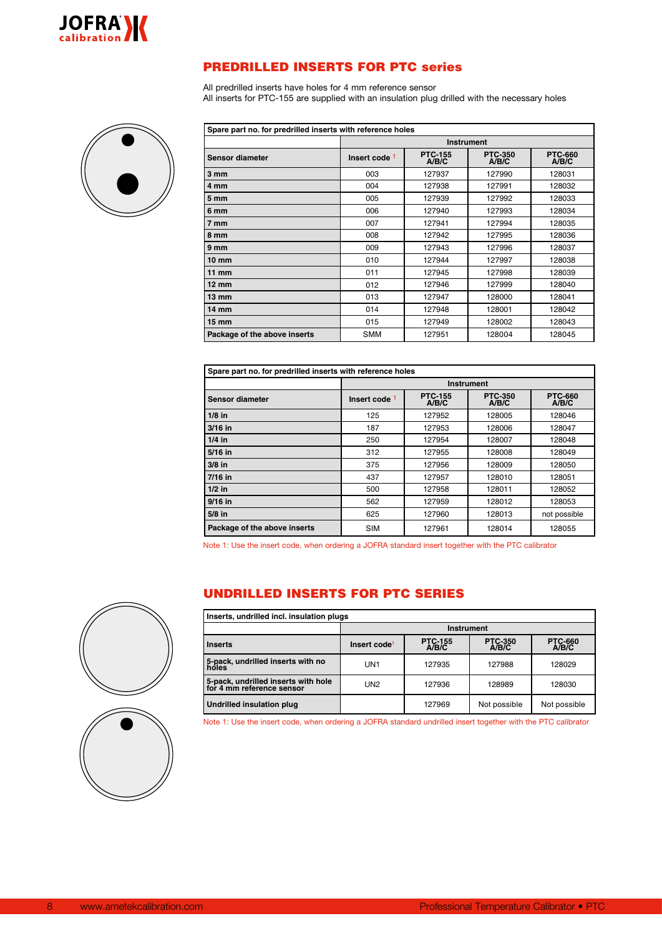

## PREDRILLED INSERTS FOR PTC series

All predrilled inserts have holes for 4 mm reference sensor All inserts for PTC-155 are supplied with an insulation plug drilled with the necessary holes



| Spare part no. for predrilled inserts with reference holes |                                   |                                                                               |        |        |  |  |  |
|------------------------------------------------------------|-----------------------------------|-------------------------------------------------------------------------------|--------|--------|--|--|--|
|                                                            |                                   | <b>Instrument</b>                                                             |        |        |  |  |  |
| <b>Sensor diameter</b>                                     | Insert code 1                     | <b>PTC-660</b><br><b>PTC-155</b><br><b>PTC-350</b><br>A/B/C<br>A/B/C<br>A/B/C |        |        |  |  |  |
| $3 \, \text{mm}$                                           | 003                               | 127937                                                                        | 127990 | 128031 |  |  |  |
| 4 mm                                                       | 004                               | 127938                                                                        | 127991 | 128032 |  |  |  |
| 5 mm                                                       | 005                               | 127939                                                                        | 127992 | 128033 |  |  |  |
| 6 mm                                                       | 006                               | 127940                                                                        | 127993 | 128034 |  |  |  |
| 7 mm                                                       | 007                               | 127941                                                                        | 127994 | 128035 |  |  |  |
| 8 mm                                                       | 008                               | 127942                                                                        | 127995 | 128036 |  |  |  |
| 9 mm                                                       | 009                               | 127943                                                                        | 127996 | 128037 |  |  |  |
| 10 mm                                                      | 010<br>127944<br>127997<br>128038 |                                                                               |        |        |  |  |  |
| 11 mm                                                      | 011                               | 127945                                                                        | 127998 | 128039 |  |  |  |
| $12 \text{ mm}$                                            | 012                               | 127946                                                                        | 127999 | 128040 |  |  |  |
| $13 \text{ mm}$                                            | 013                               | 127947                                                                        | 128000 | 128041 |  |  |  |
| 14 mm                                                      | 014                               | 127948                                                                        | 128001 | 128042 |  |  |  |
| 15 mm                                                      | 015                               | 127949                                                                        | 128002 | 128043 |  |  |  |
| Package of the above inserts                               | <b>SMM</b>                        | 127951<br>128004<br>128045                                                    |        |        |  |  |  |

| Spare part no. for predrilled inserts with reference holes |                                         |                                                                               |        |        |  |  |  |
|------------------------------------------------------------|-----------------------------------------|-------------------------------------------------------------------------------|--------|--------|--|--|--|
|                                                            |                                         | <b>Instrument</b>                                                             |        |        |  |  |  |
| Sensor diameter                                            | Insert code 1                           | <b>PTC-155</b><br><b>PTC-350</b><br><b>PTC-660</b><br>A/B/C<br>A/B/C<br>A/B/C |        |        |  |  |  |
| $1/8$ in                                                   | 125                                     | 127952                                                                        | 128005 | 128046 |  |  |  |
| $3/16$ in                                                  | 187                                     | 127953                                                                        | 128006 | 128047 |  |  |  |
| $1/4$ in                                                   | 250                                     | 127954                                                                        | 128007 | 128048 |  |  |  |
| 5/16 in                                                    | 312                                     | 127955                                                                        | 128008 | 128049 |  |  |  |
| $3/8$ in                                                   | 375                                     | 127956                                                                        | 128009 | 128050 |  |  |  |
| 7/16 in                                                    | 437<br>127957<br>128010<br>128051       |                                                                               |        |        |  |  |  |
| $1/2$ in                                                   | 500                                     | 127958                                                                        | 128011 | 128052 |  |  |  |
| 9/16 in                                                    | 562                                     | 127959                                                                        | 128012 | 128053 |  |  |  |
| $5/8$ in                                                   | 625<br>not possible<br>127960<br>128013 |                                                                               |        |        |  |  |  |
| Package of the above inserts                               | <b>SIM</b>                              | 127961<br>128014<br>128055                                                    |        |        |  |  |  |

Note 1: Use the insert code, when ordering a JOFRA standard insert together with the PTC calibrator

## UNDRILLED INSERTS FOR PTC SERIES

| Inserts, undrilled incl. insulation plugs                        |                          |                         |                         |                          |  |  |
|------------------------------------------------------------------|--------------------------|-------------------------|-------------------------|--------------------------|--|--|
|                                                                  |                          | Instrument              |                         |                          |  |  |
| <b>Inserts</b>                                                   | Insert code <sup>1</sup> | <b>PTC-155</b><br>A/B/C | <b>PTC-350</b><br>A/B/C | <b>PTC-660<br/>A/B/C</b> |  |  |
| 5-pack, undrilled inserts with no<br>holes                       | UN <sub>1</sub>          | 127935                  | 127988                  | 128029                   |  |  |
| 5-pack, undrilled inserts with hole<br>for 4 mm reference sensor | UN <sub>2</sub>          | 127936                  | 128989                  | 128030                   |  |  |
| <b>Undrilled insulation plug</b>                                 |                          | 127969                  | Not possible            | Not possible             |  |  |

Note 1: Use the insert code, when ordering a JOFRA standard undrilled insert together with the PTC calibrator



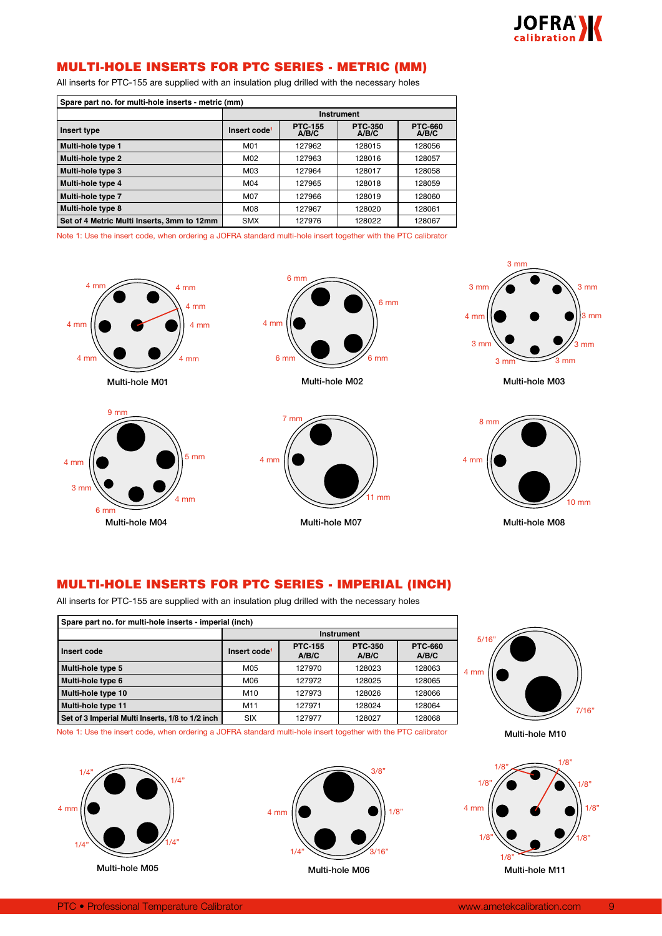

## MULTI-HOLE INSERTS FOR PTC SERIES - METRIC (MM)

All inserts for PTC-155 are supplied with an insulation plug drilled with the necessary holes

| Spare part no. for multi-hole inserts - metric (mm) |                                                                                                           |            |        |        |  |  |
|-----------------------------------------------------|-----------------------------------------------------------------------------------------------------------|------------|--------|--------|--|--|
|                                                     |                                                                                                           | Instrument |        |        |  |  |
| Insert type                                         | <b>PTC-155</b><br><b>PTC-350</b><br><b>PTC-660</b><br>Insert code <sup>1</sup><br>A/B/C<br>A/B/C<br>A/B/C |            |        |        |  |  |
| Multi-hole type 1                                   | M01                                                                                                       | 127962     | 128015 | 128056 |  |  |
| Multi-hole type 2                                   | M02<br>127963<br>128016<br>128057                                                                         |            |        |        |  |  |
| Multi-hole type 3                                   | M03<br>127964<br>128058<br>128017                                                                         |            |        |        |  |  |
| Multi-hole type 4                                   | M04<br>127965<br>128018<br>128059                                                                         |            |        |        |  |  |
| Multi-hole type 7                                   | M07<br>127966<br>128019<br>128060                                                                         |            |        |        |  |  |
| Multi-hole type 8                                   | M08<br>127967<br>128020<br>128061                                                                         |            |        |        |  |  |
| Set of 4 Metric Multi Inserts, 3mm to 12mm          | 128022<br>127976<br>128067<br><b>SMX</b>                                                                  |            |        |        |  |  |

Note 1: Use the insert code, when ordering a JOFRA standard multi-hole insert together with the PTC calibrator







Multi-hole M02





3 mm

Multi-hole M03



Multi-hole M08

## MULTI-HOLE INSERTS FOR PTC SERIES - IMPERIAL (INCH)

All inserts for PTC-155 are supplied with an insulation plug drilled with the necessary holes

| Spare part no. for multi-hole inserts - imperial (inch)                                                                  |                                               |            |  |  |  |  |  |
|--------------------------------------------------------------------------------------------------------------------------|-----------------------------------------------|------------|--|--|--|--|--|
|                                                                                                                          |                                               | Instrument |  |  |  |  |  |
| <b>PTC-350</b><br><b>PTC-155</b><br><b>PTC-660</b><br>Insert code<br>Insert code <sup>1</sup><br>A/B/C<br>A/B/C<br>A/B/C |                                               |            |  |  |  |  |  |
| Multi-hole type 5                                                                                                        | M05<br>127970<br>128023<br>128063             |            |  |  |  |  |  |
| Multi-hole type 6                                                                                                        | M06<br>127972<br>128065<br>128025             |            |  |  |  |  |  |
| Multi-hole type 10                                                                                                       | M <sub>10</sub><br>127973<br>128026<br>128066 |            |  |  |  |  |  |
| Multi-hole type 11                                                                                                       | M11<br>127971<br>128024<br>128064             |            |  |  |  |  |  |
| Set of 3 Imperial Multi Inserts, 1/8 to 1/2 inch                                                                         | 128068<br>127977<br>128027<br><b>SIX</b>      |            |  |  |  |  |  |



Note 1: Use the insert code, when ordering a JOFRA standard multi-hole insert together with the PTC calibrator







Multi-hole M10

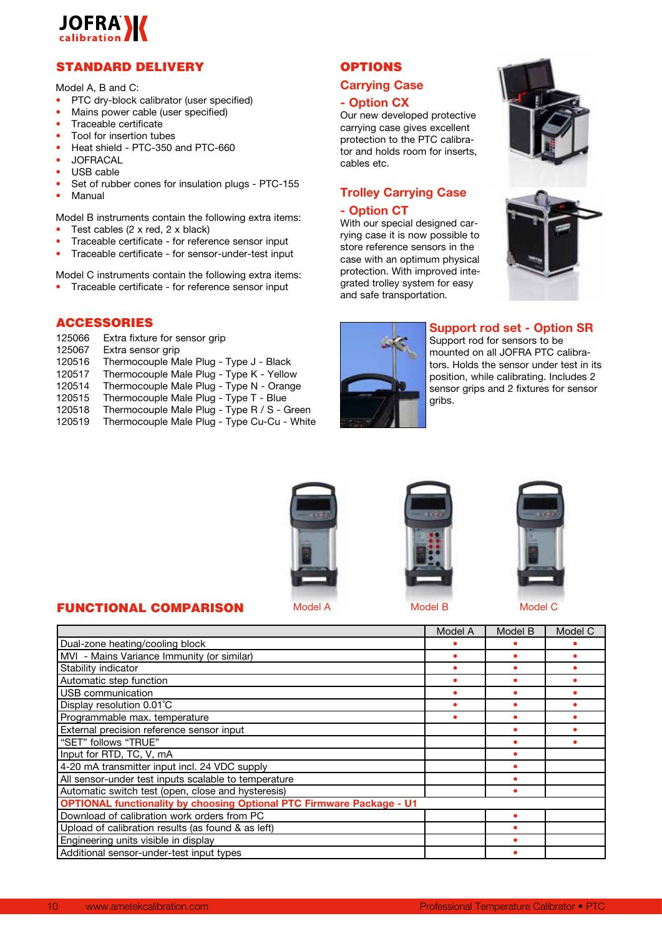

## STANDARD DELIVERY

Model A, B and C:

- PTC dry-block calibrator (user specified)
- Mains power cable (user specified)
- Traceable certificate
- Tool for insertion tubes
- Heat shield PTC-350 and PTC-660
- JOFRACAL
- USB cable
- Set of rubber cones for insulation plugs PTC-155
- Manual

Model B instruments contain the following extra items:

- Test cables  $(2 \times red, 2 \times black)$
- Traceable certificate for reference sensor input
- Traceable certificate for sensor-under-test input

Model C instruments contain the following extra items:

• Traceable certificate - for reference sensor input

## ACCESSORIES

125066 Extra fixture for sensor grip<br>125067 Extra sensor grip

FUNCTIONAL COMPARISON

- Extra sensor grip
- 120516 Thermocouple Male Plug Type J Black
- 120517 Thermocouple Male Plug Type K Yellow
- 120514 Thermocouple Male Plug Type N Orange
- 120515 Thermocouple Male Plug Type T Blue<br>120518 Thermocouple Male Plug Type R / S G
- Thermocouple Male Plug Type R / S Green
- 120519 Thermocouple Male Plug Type Cu-Cu White

## **OPTIONS**

## **Carrying Case**

## **- Option CX**

Our new developed protective carrying case gives excellent protection to the PTC calibrator and holds room for inserts, cables etc.

## **Trolley Carrying Case**

## **- Option CT**

With our special designed carrying case it is now possible to store reference sensors in the case with an optimum physical protection. With improved integrated trolley system for easy and safe transportation.







## **Support rod set - Option SR**

Support rod for sensors to be mounted on all JOFRA PTC calibrators. Holds the sensor under test in its position, while calibrating. Includes 2 sensor grips and 2 fixtures for sensor gribs.







|                                                                              | Model A | Model B | Model C |
|------------------------------------------------------------------------------|---------|---------|---------|
| Dual-zone heating/cooling block                                              |         |         |         |
| MVI - Mains Variance Immunity (or similar)                                   |         |         |         |
| Stability indicator                                                          |         |         |         |
| Automatic step function                                                      |         |         |         |
| USB communication                                                            |         |         |         |
| Display resolution 0.01°C                                                    |         |         |         |
| Programmable max. temperature                                                |         |         |         |
| External precision reference sensor input                                    |         |         |         |
| "SET" follows "TRUE"                                                         |         |         |         |
| Input for RTD, TC, V, mA                                                     |         |         |         |
| 4-20 mA transmitter input incl. 24 VDC supply                                |         |         |         |
| All sensor-under test inputs scalable to temperature                         |         |         |         |
| Automatic switch test (open, close and hysteresis)                           |         |         |         |
| <b>OPTIONAL functionality by choosing Optional PTC Firmware Package - U1</b> |         |         |         |
| Download of calibration work orders from PC                                  |         |         |         |
| Upload of calibration results (as found & as left)                           |         |         |         |
| Engineering units visible in display                                         |         |         |         |
| Additional sensor-under-test input types                                     |         |         |         |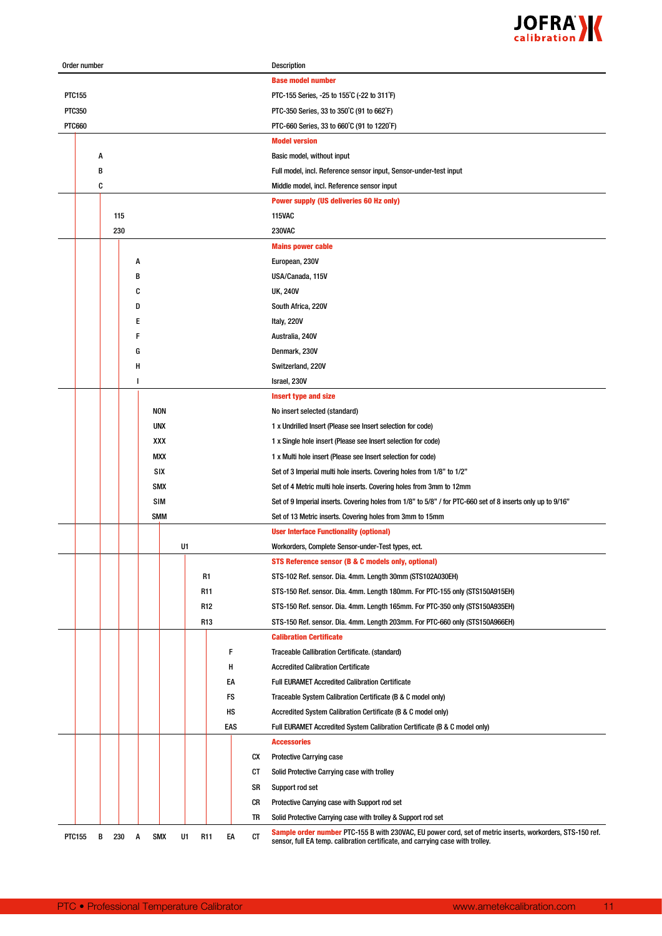

| Order number  |   |     |   |            |    |                 |     |    | Description                                                                                                                                                                                 |
|---------------|---|-----|---|------------|----|-----------------|-----|----|---------------------------------------------------------------------------------------------------------------------------------------------------------------------------------------------|
|               |   |     |   |            |    |                 |     |    | <b>Base model number</b>                                                                                                                                                                    |
| PTC155        |   |     |   |            |    |                 |     |    | PTC-155 Series, -25 to 155°C (-22 to 311°F)                                                                                                                                                 |
| <b>PTC350</b> |   |     |   |            |    |                 |     |    | PTC-350 Series, 33 to 350°C (91 to 662°F)                                                                                                                                                   |
| <b>PTC660</b> |   |     |   |            |    |                 |     |    | PTC-660 Series, 33 to 660°C (91 to 1220°F)                                                                                                                                                  |
|               |   |     |   |            |    |                 |     |    | <b>Model version</b>                                                                                                                                                                        |
|               | A |     |   |            |    |                 |     |    | Basic model, without input                                                                                                                                                                  |
|               | В |     |   |            |    |                 |     |    | Full model, incl. Reference sensor input, Sensor-under-test input                                                                                                                           |
|               | C |     |   |            |    |                 |     |    | Middle model, incl. Reference sensor input                                                                                                                                                  |
|               |   |     |   |            |    |                 |     |    | <b>Power supply (US deliveries 60 Hz only)</b>                                                                                                                                              |
|               |   | 115 |   |            |    |                 |     |    | <b>115VAC</b>                                                                                                                                                                               |
|               |   | 230 |   |            |    |                 |     |    | <b>230VAC</b>                                                                                                                                                                               |
|               |   |     |   |            |    |                 |     |    | <b>Mains power cable</b>                                                                                                                                                                    |
|               |   |     | Α |            |    |                 |     |    | European, 230V                                                                                                                                                                              |
|               |   |     | B |            |    |                 |     |    | USA/Canada, 115V                                                                                                                                                                            |
|               |   |     | C |            |    |                 |     |    | <b>UK, 240V</b>                                                                                                                                                                             |
|               |   |     | D |            |    |                 |     |    | South Africa, 220V                                                                                                                                                                          |
|               |   |     | Ε |            |    |                 |     |    | Italy, 220V                                                                                                                                                                                 |
|               |   |     | F |            |    |                 |     |    | Australia, 240V                                                                                                                                                                             |
|               |   |     | G |            |    |                 |     |    | Denmark, 230V                                                                                                                                                                               |
|               |   |     | Н |            |    |                 |     |    | Switzerland, 220V                                                                                                                                                                           |
|               |   |     | ı |            |    |                 |     |    | Israel, 230V                                                                                                                                                                                |
|               |   |     |   |            |    |                 |     |    | <b>Insert type and size</b>                                                                                                                                                                 |
|               |   |     |   | NON        |    |                 |     |    | No insert selected (standard)                                                                                                                                                               |
|               |   |     |   | UNX        |    |                 |     |    | 1 x Undrilled Insert (Please see Insert selection for code)                                                                                                                                 |
|               |   |     |   | XXX        |    |                 |     |    | 1 x Single hole insert (Please see Insert selection for code)                                                                                                                               |
|               |   |     |   | MXX        |    |                 |     |    | 1 x Multi hole insert (Please see Insert selection for code)                                                                                                                                |
|               |   |     |   | SIX        |    |                 |     |    | Set of 3 Imperial multi hole inserts. Covering holes from 1/8" to 1/2"                                                                                                                      |
|               |   |     |   | SMX        |    |                 |     |    | Set of 4 Metric multi hole inserts. Covering holes from 3mm to 12mm                                                                                                                         |
|               |   |     |   | <b>SIM</b> |    |                 |     |    | Set of 9 Imperial inserts. Covering holes from 1/8" to 5/8" / for PTC-660 set of 8 inserts only up to 9/16"                                                                                 |
|               |   |     |   | <b>SMM</b> |    |                 |     |    | Set of 13 Metric inserts. Covering holes from 3mm to 15mm                                                                                                                                   |
|               |   |     |   |            |    |                 |     |    | <b>User Interface Functionality (optional)</b>                                                                                                                                              |
|               |   |     |   |            | U1 |                 |     |    | Workorders, Complete Sensor-under-Test types, ect.                                                                                                                                          |
|               |   |     |   |            |    |                 |     |    | STS Reference sensor (B & C models only, optional)                                                                                                                                          |
|               |   |     |   |            |    | R1              |     |    | STS-102 Ref. sensor. Dia. 4mm. Length 30mm (STS102A030EH)                                                                                                                                   |
|               |   |     |   |            |    | R11             |     |    | STS-150 Ref. sensor. Dia. 4mm. Length 180mm. For PTC-155 only (STS150A915EH)                                                                                                                |
|               |   |     |   |            |    | R <sub>12</sub> |     |    | STS-150 Ref. sensor. Dia. 4mm. Length 165mm. For PTC-350 only (STS150A935EH)                                                                                                                |
|               |   |     |   |            |    | R <sub>13</sub> |     |    |                                                                                                                                                                                             |
|               |   |     |   |            |    |                 |     |    | STS-150 Ref. sensor. Dia. 4mm. Length 203mm. For PTC-660 only (STS150A966EH)<br><b>Calibration Certificate</b>                                                                              |
|               |   |     |   |            |    |                 | F   |    |                                                                                                                                                                                             |
|               |   |     |   |            |    |                 | н   |    | Traceable Callibration Certificate. (standard)                                                                                                                                              |
|               |   |     |   |            |    |                 | EA  |    | <b>Accredited Calibration Certificate</b><br><b>Full EURAMET Accredited Calibration Certificate</b>                                                                                         |
|               |   |     |   |            |    |                 |     |    |                                                                                                                                                                                             |
|               |   |     |   |            |    |                 | FS  |    | Traceable System Calibration Certificate (B & C model only)                                                                                                                                 |
|               |   |     |   |            |    |                 | нs  |    | Accredited System Calibration Certificate (B & C model only)                                                                                                                                |
|               |   |     |   |            |    |                 | EAS |    | Full EURAMET Accredited System Calibration Certificate (B & C model only)                                                                                                                   |
|               |   |     |   |            |    |                 |     |    | <b>Accessories</b>                                                                                                                                                                          |
|               |   |     |   |            |    |                 |     | CX | <b>Protective Carrying case</b>                                                                                                                                                             |
|               |   |     |   |            |    |                 |     | CТ | Solid Protective Carrying case with trolley                                                                                                                                                 |
|               |   |     |   |            |    |                 |     | SR | Support rod set                                                                                                                                                                             |
|               |   |     |   |            |    |                 |     | CR | Protective Carrying case with Support rod set                                                                                                                                               |
|               |   |     |   |            |    |                 |     | TR | Solid Protective Carrying case with trolley & Support rod set                                                                                                                               |
| <b>PTC155</b> | В | 230 | Α | <b>SMX</b> | U1 | R <sub>11</sub> | EA  | CT | Sample order number PTC-155 B with 230VAC, EU power cord, set of metric inserts, workorders, STS-150 ref.<br>sensor, full EA temp. calibration certificate, and carrying case with trolley. |